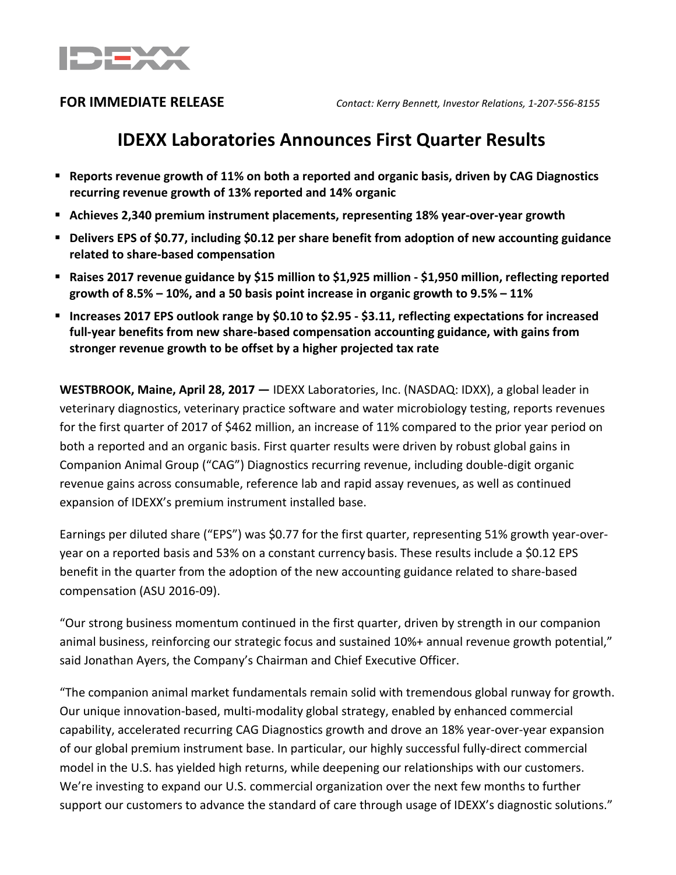

# **IDEXX Laboratories Announces First Quarter Results**

- **Reports revenue growth of 11% on both a reported and organic basis, driven by CAG Diagnostics recurring revenue growth of 13% reported and 14% organic**
- **Achieves 2,340 premium instrument placements, representing 18% year-over-year growth**
- **Delivers EPS of \$0.77, including \$0.12 per share benefit from adoption of new accounting guidance related to share-based compensation**
- **Raises 2017 revenue guidance by \$15 million to \$1,925 million - \$1,950 million, reflecting reported growth of 8.5% – 10%, and a 50 basis point increase in organic growth to 9.5% – 11%**
- **Increases 2017 EPS outlook range by \$0.10 to \$2.95 - \$3.11, reflecting expectations for increased full-year benefits from new share-based compensation accounting guidance, with gains from stronger revenue growth to be offset by a higher projected tax rate**

**WESTBROOK, Maine, April 28, 2017 —** IDEXX Laboratories, Inc. (NASDAQ: IDXX), a global leader in veterinary diagnostics, veterinary practice software and water microbiology testing, reports revenues for the first quarter of 2017 of \$462 million, an increase of 11% compared to the prior year period on both a reported and an organic basis. First quarter results were driven by robust global gains in Companion Animal Group ("CAG") Diagnostics recurring revenue, including double-digit organic revenue gains across consumable, reference lab and rapid assay revenues, as well as continued expansion of IDEXX's premium instrument installed base.

Earnings per diluted share ("EPS") was \$0.77 for the first quarter, representing 51% growth year-overyear on a reported basis and 53% on a constant currency basis. These results include a \$0.12 EPS benefit in the quarter from the adoption of the new accounting guidance related to share-based compensation (ASU 2016-09).

"Our strong business momentum continued in the first quarter, driven by strength in our companion animal business, reinforcing our strategic focus and sustained 10%+ annual revenue growth potential," said Jonathan Ayers, the Company's Chairman and Chief Executive Officer.

"The companion animal market fundamentals remain solid with tremendous global runway for growth. Our unique innovation-based, multi-modality global strategy, enabled by enhanced commercial capability, accelerated recurring CAG Diagnostics growth and drove an 18% year-over-year expansion of our global premium instrument base. In particular, our highly successful fully-direct commercial model in the U.S. has yielded high returns, while deepening our relationships with our customers. We're investing to expand our U.S. commercial organization over the next few months to further support our customers to advance the standard of care through usage of IDEXX's diagnostic solutions."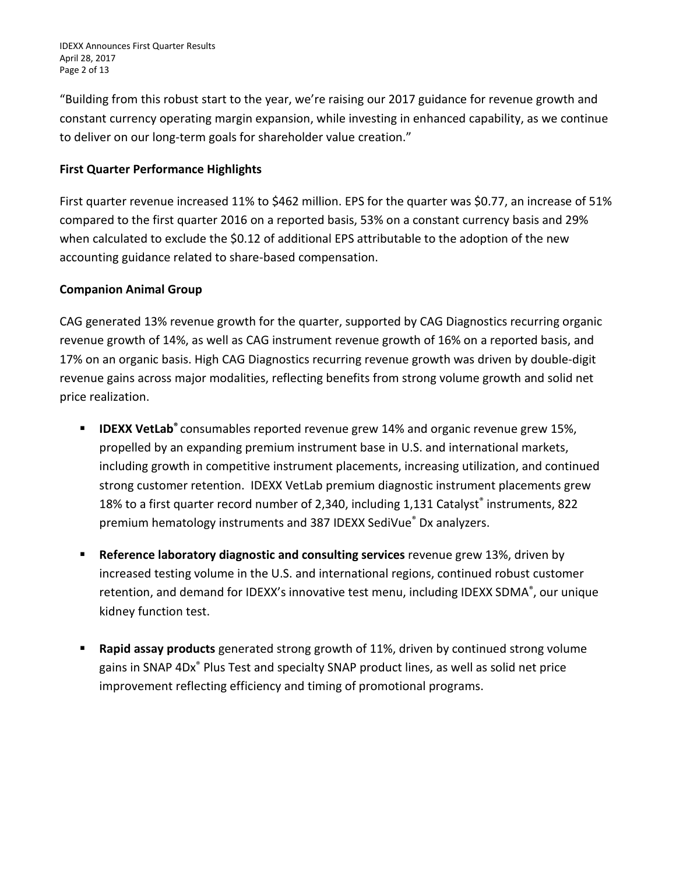IDEXX Announces First Quarter Results April 28, 2017 Page 2 of 13

"Building from this robust start to the year, we're raising our 2017 guidance for revenue growth and constant currency operating margin expansion, while investing in enhanced capability, as we continue to deliver on our long-term goals for shareholder value creation."

## **First Quarter Performance Highlights**

First quarter revenue increased 11% to \$462 million. EPS for the quarter was \$0.77, an increase of 51% compared to the first quarter 2016 on a reported basis, 53% on a constant currency basis and 29% when calculated to exclude the \$0.12 of additional EPS attributable to the adoption of the new accounting guidance related to share-based compensation.

## **Companion Animal Group**

CAG generated 13% revenue growth for the quarter, supported by CAG Diagnostics recurring organic revenue growth of 14%, as well as CAG instrument revenue growth of 16% on a reported basis, and 17% on an organic basis. High CAG Diagnostics recurring revenue growth was driven by double-digit revenue gains across major modalities, reflecting benefits from strong volume growth and solid net price realization.

- **IDEXX VetLab®** consumables reported revenue grew 14% and organic revenue grew 15%, propelled by an expanding premium instrument base in U.S. and international markets, including growth in competitive instrument placements, increasing utilization, and continued strong customer retention. IDEXX VetLab premium diagnostic instrument placements grew 18% to a first quarter record number of 2,340, including 1,131 Catalyst® instruments, 822 premium hematology instruments and 387 IDEXX SediVue® Dx analyzers.
- **Reference laboratory diagnostic and consulting services** revenue grew 13%, driven by increased testing volume in the U.S. and international regions, continued robust customer retention, and demand for IDEXX's innovative test menu, including IDEXX SDMA®, our unique kidney function test.
- **Rapid assay products** generated strong growth of 11%, driven by continued strong volume gains in SNAP 4Dx® Plus Test and specialty SNAP product lines, as well as solid net price improvement reflecting efficiency and timing of promotional programs.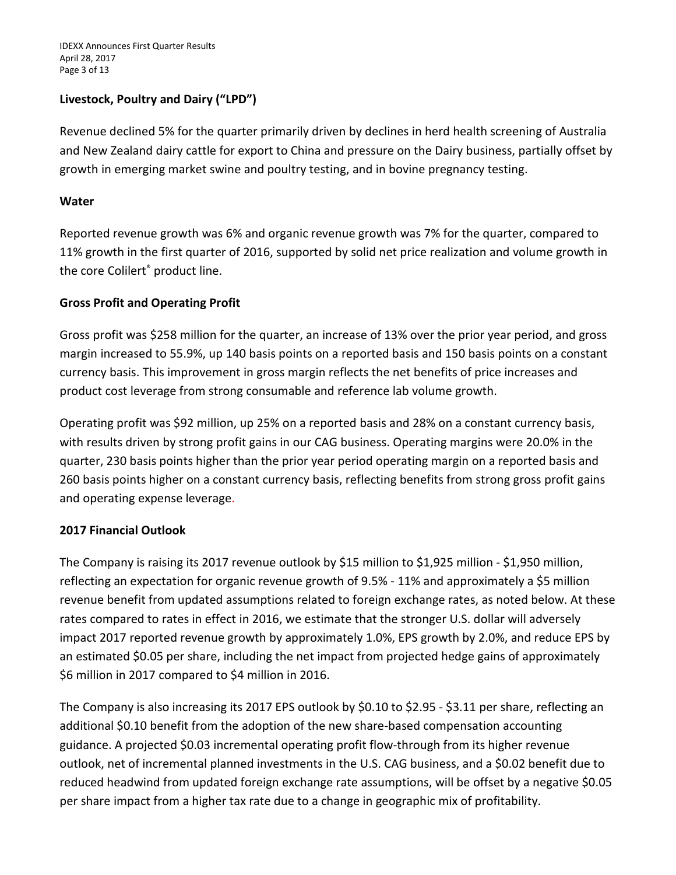IDEXX Announces First Quarter Results April 28, 2017 Page 3 of 13

## **Livestock, Poultry and Dairy ("LPD")**

Revenue declined 5% for the quarter primarily driven by declines in herd health screening of Australia and New Zealand dairy cattle for export to China and pressure on the Dairy business, partially offset by growth in emerging market swine and poultry testing, and in bovine pregnancy testing.

## **Water**

Reported revenue growth was 6% and organic revenue growth was 7% for the quarter, compared to 11% growth in the first quarter of 2016, supported by solid net price realization and volume growth in the core Colilert® product line.

## **Gross Profit and Operating Profit**

Gross profit was \$258 million for the quarter, an increase of 13% over the prior year period, and gross margin increased to 55.9%, up 140 basis points on a reported basis and 150 basis points on a constant currency basis. This improvement in gross margin reflects the net benefits of price increases and product cost leverage from strong consumable and reference lab volume growth.

Operating profit was \$92 million, up 25% on a reported basis and 28% on a constant currency basis, with results driven by strong profit gains in our CAG business. Operating margins were 20.0% in the quarter, 230 basis points higher than the prior year period operating margin on a reported basis and 260 basis points higher on a constant currency basis, reflecting benefits from strong gross profit gains and operating expense leverage.

## **2017 Financial Outlook**

The Company is raising its 2017 revenue outlook by \$15 million to \$1,925 million - \$1,950 million, reflecting an expectation for organic revenue growth of 9.5% - 11% and approximately a \$5 million revenue benefit from updated assumptions related to foreign exchange rates, as noted below. At these rates compared to rates in effect in 2016, we estimate that the stronger U.S. dollar will adversely impact 2017 reported revenue growth by approximately 1.0%, EPS growth by 2.0%, and reduce EPS by an estimated \$0.05 per share, including the net impact from projected hedge gains of approximately \$6 million in 2017 compared to \$4 million in 2016.

The Company is also increasing its 2017 EPS outlook by \$0.10 to \$2.95 - \$3.11 per share, reflecting an additional \$0.10 benefit from the adoption of the new share-based compensation accounting guidance. A projected \$0.03 incremental operating profit flow-through from its higher revenue outlook, net of incremental planned investments in the U.S. CAG business, and a \$0.02 benefit due to reduced headwind from updated foreign exchange rate assumptions, will be offset by a negative \$0.05 per share impact from a higher tax rate due to a change in geographic mix of profitability.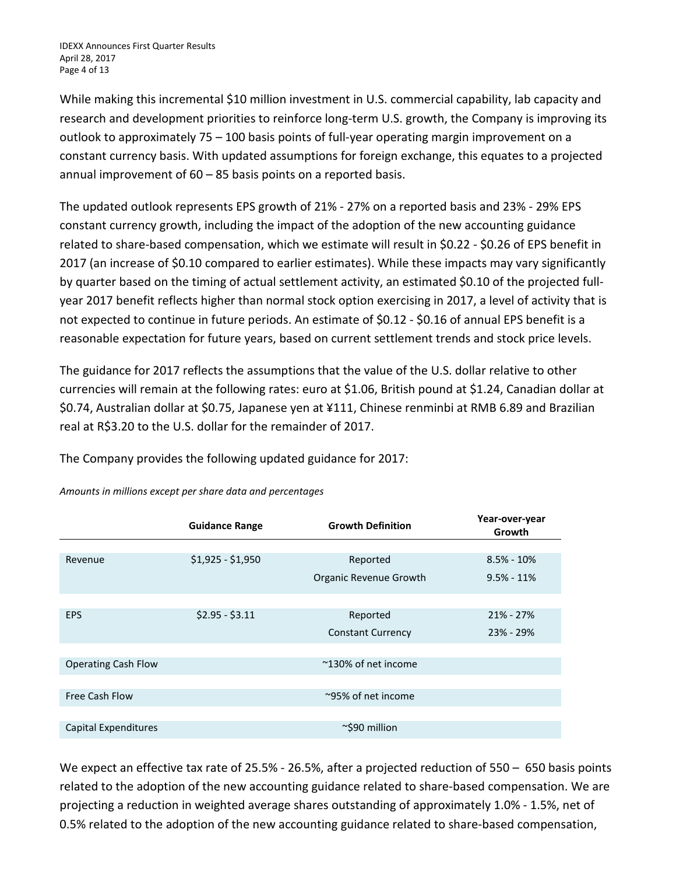While making this incremental \$10 million investment in U.S. commercial capability, lab capacity and research and development priorities to reinforce long-term U.S. growth, the Company is improving its outlook to approximately 75 – 100 basis points of full-year operating margin improvement on a constant currency basis. With updated assumptions for foreign exchange, this equates to a projected annual improvement of 60 – 85 basis points on a reported basis.

The updated outlook represents EPS growth of 21% - 27% on a reported basis and 23% - 29% EPS constant currency growth, including the impact of the adoption of the new accounting guidance related to share-based compensation, which we estimate will result in \$0.22 - \$0.26 of EPS benefit in 2017 (an increase of \$0.10 compared to earlier estimates). While these impacts may vary significantly by quarter based on the timing of actual settlement activity, an estimated \$0.10 of the projected fullyear 2017 benefit reflects higher than normal stock option exercising in 2017, a level of activity that is not expected to continue in future periods. An estimate of \$0.12 - \$0.16 of annual EPS benefit is a reasonable expectation for future years, based on current settlement trends and stock price levels.

The guidance for 2017 reflects the assumptions that the value of the U.S. dollar relative to other currencies will remain at the following rates: euro at \$1.06, British pound at \$1.24, Canadian dollar at \$0.74, Australian dollar at \$0.75, Japanese yen at ¥111, Chinese renminbi at RMB 6.89 and Brazilian real at R\$3.20 to the U.S. dollar for the remainder of 2017.

The Company provides the following updated guidance for 2017:

|                            | <b>Guidance Range</b> | <b>Growth Definition</b> | Year-over-year<br>Growth |
|----------------------------|-----------------------|--------------------------|--------------------------|
|                            |                       |                          |                          |
| Revenue                    | $$1,925 - $1,950$     | Reported                 | $8.5\% - 10\%$           |
|                            |                       | Organic Revenue Growth   | $9.5% - 11%$             |
|                            |                       |                          |                          |
| <b>EPS</b>                 | $$2.95 - $3.11$       | Reported                 | $21\% - 27\%$            |
|                            |                       | <b>Constant Currency</b> | $23\% - 29\%$            |
|                            |                       |                          |                          |
| <b>Operating Cash Flow</b> |                       | ~130% of net income      |                          |
|                            |                       |                          |                          |
| Free Cash Flow             |                       | ~95% of net income       |                          |
|                            |                       |                          |                          |
| Capital Expenditures       |                       | ~\$90 million            |                          |

*Amounts in millions except per share data and percentages*

We expect an effective tax rate of 25.5% - 26.5%, after a projected reduction of 550 - 650 basis points related to the adoption of the new accounting guidance related to share-based compensation. We are projecting a reduction in weighted average shares outstanding of approximately 1.0% - 1.5%, net of 0.5% related to the adoption of the new accounting guidance related to share-based compensation,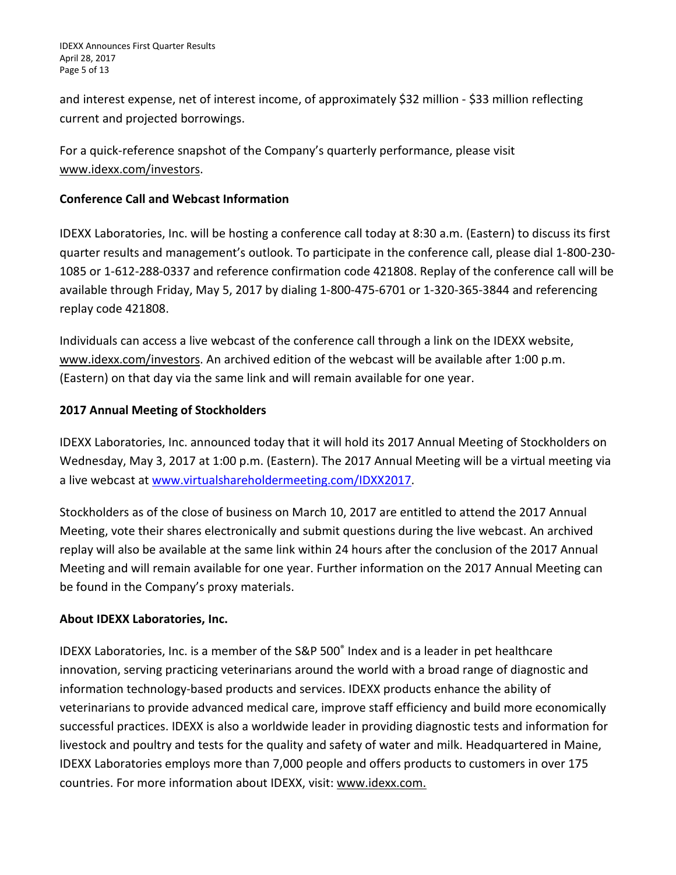IDEXX Announces First Quarter Results April 28, 2017 Page 5 of 13

and interest expense, net of interest income, of approximately \$32 million - \$33 million reflecting current and projected borrowings.

For a quick-reference snapshot of the Company's quarterly performance, please visit [www.idexx.com/investors.](http://www.idexx.com/investors)

## **Conference Call and Webcast Information**

IDEXX Laboratories, Inc. will be hosting a conference call today at 8:30 a.m. (Eastern) to discuss its first quarter results and management's outlook. To participate in the conference call, please dial 1-800-230- 1085 or 1-612-288-0337 and reference confirmation code 421808. Replay of the conference call will be available through Friday, May 5, 2017 by dialing 1-800-475-6701 or 1-320-365-3844 and referencing replay code 421808.

Individuals can access a live webcast of the conference call through a link on the IDEXX website, [www.idexx.com/investors.](http://www.idexx.com/investors) An archived edition of the webcast will be available after 1:00 p.m. (Eastern) on that day via the same link and will remain available for one year.

## **2017 Annual Meeting of Stockholders**

IDEXX Laboratories, Inc. announced today that it will hold its 2017 Annual Meeting of Stockholders on Wednesday, May 3, 2017 at 1:00 p.m. (Eastern). The 2017 Annual Meeting will be a virtual meeting via a live webcast a[t www.virtualshareholdermeeting.com/IDXX2017.](http://www.virtualshareholdermeeting.com/IDXX2017)

Stockholders as of the close of business on March 10, 2017 are entitled to attend the 2017 Annual Meeting, vote their shares electronically and submit questions during the live webcast. An archived replay will also be available at the same link within 24 hours after the conclusion of the 2017 Annual Meeting and will remain available for one year. Further information on the 2017 Annual Meeting can be found in the Company's proxy materials.

## **About IDEXX Laboratories, Inc.**

IDEXX Laboratories, Inc. is a member of the S&P 500® Index and is a leader in pet healthcare innovation, serving practicing veterinarians around the world with a broad range of diagnostic and information technology-based products and services. IDEXX products enhance the ability of veterinarians to provide advanced medical care, improve staff efficiency and build more economically successful practices. IDEXX is also a worldwide leader in providing diagnostic tests and information for livestock and poultry and tests for the quality and safety of water and milk. Headquartered in Maine, IDEXX Laboratories employs more than 7,000 people and offers products to customers in over 175 countries. For more information about IDEXX, visit: [www.idexx.com.](https://www.idexx.com/corporate/home.html)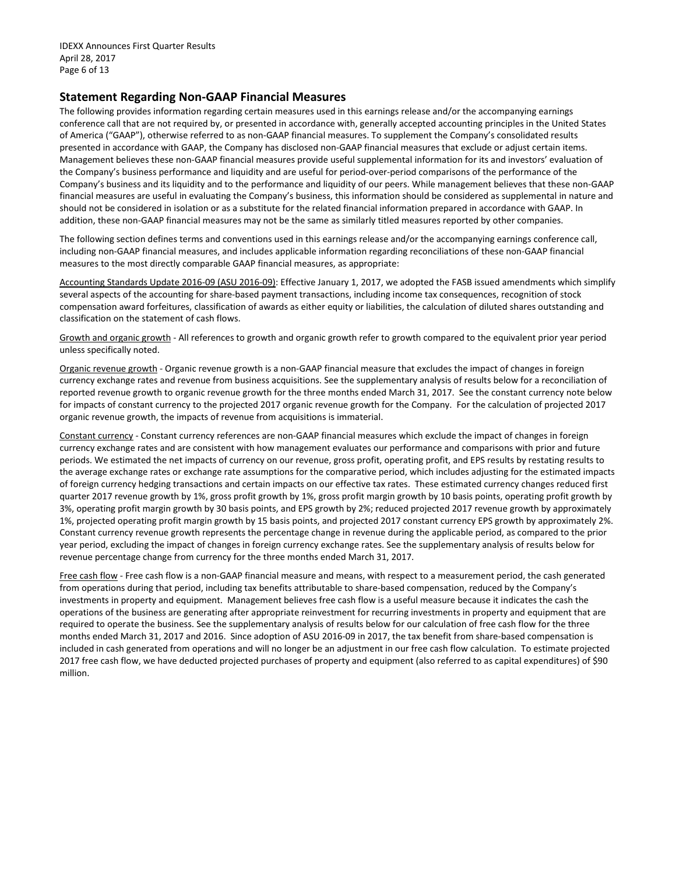IDEXX Announces First Quarter Results April 28, 2017 Page 6 of 13

#### **Statement Regarding Non-GAAP Financial Measures**

The following provides information regarding certain measures used in this earnings release and/or the accompanying earnings conference call that are not required by, or presented in accordance with, generally accepted accounting principles in the United States of America ("GAAP"), otherwise referred to as non-GAAP financial measures. To supplement the Company's consolidated results presented in accordance with GAAP, the Company has disclosed non-GAAP financial measures that exclude or adjust certain items. Management believes these non-GAAP financial measures provide useful supplemental information for its and investors' evaluation of the Company's business performance and liquidity and are useful for period-over-period comparisons of the performance of the Company's business and its liquidity and to the performance and liquidity of our peers. While management believes that these non-GAAP financial measures are useful in evaluating the Company's business, this information should be considered as supplemental in nature and should not be considered in isolation or as a substitute for the related financial information prepared in accordance with GAAP. In addition, these non-GAAP financial measures may not be the same as similarly titled measures reported by other companies.

The following section defines terms and conventions used in this earnings release and/or the accompanying earnings conference call, including non-GAAP financial measures, and includes applicable information regarding reconciliations of these non-GAAP financial measures to the most directly comparable GAAP financial measures, as appropriate:

Accounting Standards Update 2016-09 (ASU 2016-09): Effective January 1, 2017, we adopted the FASB issued amendments which simplify several aspects of the accounting for share-based payment transactions, including income tax consequences, recognition of stock compensation award forfeitures, classification of awards as either equity or liabilities, the calculation of diluted shares outstanding and classification on the statement of cash flows.

Growth and organic growth - All references to growth and organic growth refer to growth compared to the equivalent prior year period unless specifically noted.

Organic revenue growth - Organic revenue growth is a non-GAAP financial measure that excludes the impact of changes in foreign currency exchange rates and revenue from business acquisitions. See the supplementary analysis of results below for a reconciliation of reported revenue growth to organic revenue growth for the three months ended March 31, 2017. See the constant currency note below for impacts of constant currency to the projected 2017 organic revenue growth for the Company. For the calculation of projected 2017 organic revenue growth, the impacts of revenue from acquisitions is immaterial.

Constant currency - Constant currency references are non-GAAP financial measures which exclude the impact of changes in foreign currency exchange rates and are consistent with how management evaluates our performance and comparisons with prior and future periods. We estimated the net impacts of currency on our revenue, gross profit, operating profit, and EPS results by restating results to the average exchange rates or exchange rate assumptions for the comparative period, which includes adjusting for the estimated impacts of foreign currency hedging transactions and certain impacts on our effective tax rates. These estimated currency changes reduced first quarter 2017 revenue growth by 1%, gross profit growth by 1%, gross profit margin growth by 10 basis points, operating profit growth by 3%, operating profit margin growth by 30 basis points, and EPS growth by 2%; reduced projected 2017 revenue growth by approximately 1%, projected operating profit margin growth by 15 basis points, and projected 2017 constant currency EPS growth by approximately 2%. Constant currency revenue growth represents the percentage change in revenue during the applicable period, as compared to the prior year period, excluding the impact of changes in foreign currency exchange rates. See the supplementary analysis of results below for revenue percentage change from currency for the three months ended March 31, 2017.

Free cash flow - Free cash flow is a non-GAAP financial measure and means, with respect to a measurement period, the cash generated from operations during that period, including tax benefits attributable to share-based compensation, reduced by the Company's investments in property and equipment. Management believes free cash flow is a useful measure because it indicates the cash the operations of the business are generating after appropriate reinvestment for recurring investments in property and equipment that are required to operate the business. See the supplementary analysis of results below for our calculation of free cash flow for the three months ended March 31, 2017 and 2016. Since adoption of ASU 2016-09 in 2017, the tax benefit from share-based compensation is included in cash generated from operations and will no longer be an adjustment in our free cash flow calculation. To estimate projected 2017 free cash flow, we have deducted projected purchases of property and equipment (also referred to as capital expenditures) of \$90 million.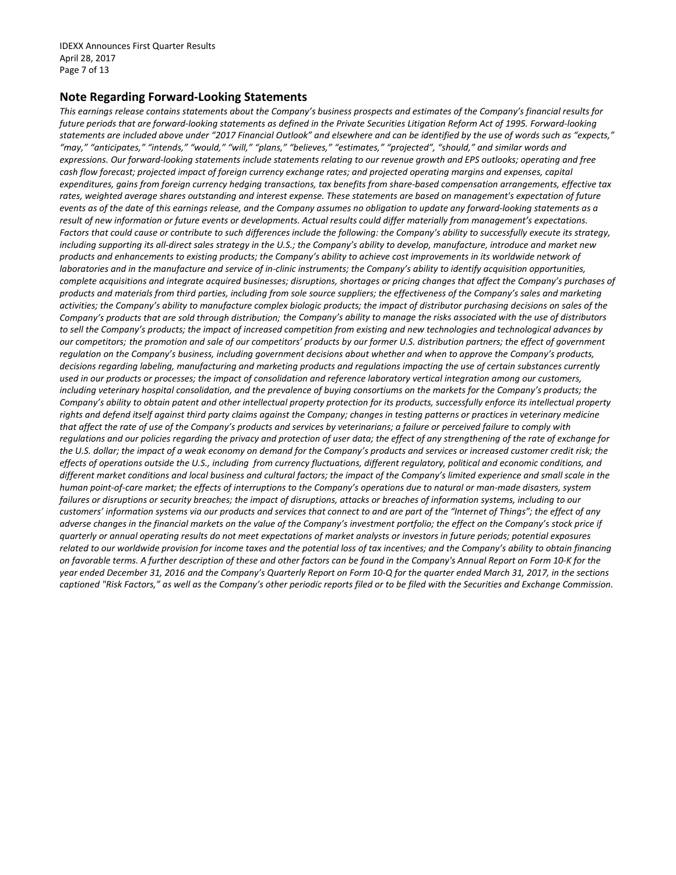#### **Note Regarding Forward-Looking Statements**

*This earnings release contains statements about the Company's business prospects and estimates of the Company's financial results for future periods that are forward-looking statements as defined in the Private Securities Litigation Reform Act of 1995. Forward-looking statements are included above under "2017 Financial Outlook" and elsewhere and can be identified by the use of words such as "expects," "may," "anticipates," "intends," "would," "will," "plans," "believes," "estimates," "projected", "should," and similar words and expressions. Our forward-looking statements include statements relating to our revenue growth and EPS outlooks; operating and free cash flow forecast; projected impact of foreign currency exchange rates; and projected operating margins and expenses, capital expenditures, gains from foreign currency hedging transactions, tax benefits from share-based compensation arrangements, effective tax rates, weighted average shares outstanding and interest expense. These statements are based on management's expectation of future events as of the date of this earnings release, and the Company assumes no obligation to update any forward-looking statements as a result of new information or future events or developments. Actual results could differ materially from management's expectations. Factors that could cause or contribute to such differences include the following: the Company's ability to successfully execute its strategy, including supporting its all-direct sales strategy in the U.S.; the Company's ability to develop, manufacture, introduce and market new products and enhancements to existing products; the Company's ability to achieve cost improvements in its worldwide network of laboratories and in the manufacture and service of in-clinic instruments; the Company's ability to identify acquisition opportunities, complete acquisitions and integrate acquired businesses; disruptions, shortages or pricing changes that affect the Company's purchases of products and materials from third parties, including from sole source suppliers; the effectiveness of the Company's sales and marketing activities; the Company's ability to manufacture complex biologic products; the impact of distributor purchasing decisions on sales of the Company's products that are sold through distribution; the Company's ability to manage the risks associated with the use of distributors to sell the Company's products; the impact of increased competition from existing and new technologies and technological advances by our competitors; the promotion and sale of our competitors' products by our former U.S. distribution partners; the effect of government regulation on the Company's business, including government decisions about whether and when to approve the Company's products, decisions regarding labeling, manufacturing and marketing products and regulations impacting the use of certain substances currently used in our products or processes; the impact of consolidation and reference laboratory vertical integration among our customers, including veterinary hospital consolidation, and the prevalence of buying consortiums on the markets for the Company's products; the Company's ability to obtain patent and other intellectual property protection for its products, successfully enforce its intellectual property rights and defend itself against third party claims against the Company; changes in testing patterns or practices in veterinary medicine that affect the rate of use of the Company's products and services by veterinarians; a failure or perceived failure to comply with regulations and our policies regarding the privacy and protection of user data; the effect of any strengthening of the rate of exchange for the U.S. dollar; the impact of a weak economy on demand for the Company's products and services or increased customer credit risk; the effects of operations outside the U.S., including from currency fluctuations, different regulatory, political and economic conditions, and different market conditions and local business and cultural factors; the impact of the Company's limited experience and small scale in the human point-of-care market; the effects of interruptions to the Company's operations due to natural or man-made disasters, system failures or disruptions or security breaches; the impact of disruptions, attacks or breaches of information systems, including to our customers' information systems via our products and services that connect to and are part of the "Internet of Things"; the effect of any adverse changes in the financial markets on the value of the Company's investment portfolio; the effect on the Company's stock price if quarterly or annual operating results do not meet expectations of market analysts or investors in future periods; potential exposures related to our worldwide provision for income taxes and the potential loss of tax incentives; and the Company's ability to obtain financing on favorable terms. A further description of these and other factors can be found in the Company's Annual Report on Form 10-K for the year ended December 31, 2016 and the Company's Quarterly Report on Form 10-Q for the quarter ended March 31, 2017, in the sections captioned "Risk Factors," as well as the Company's other periodic reports filed or to be filed with the Securities and Exchange Commission.*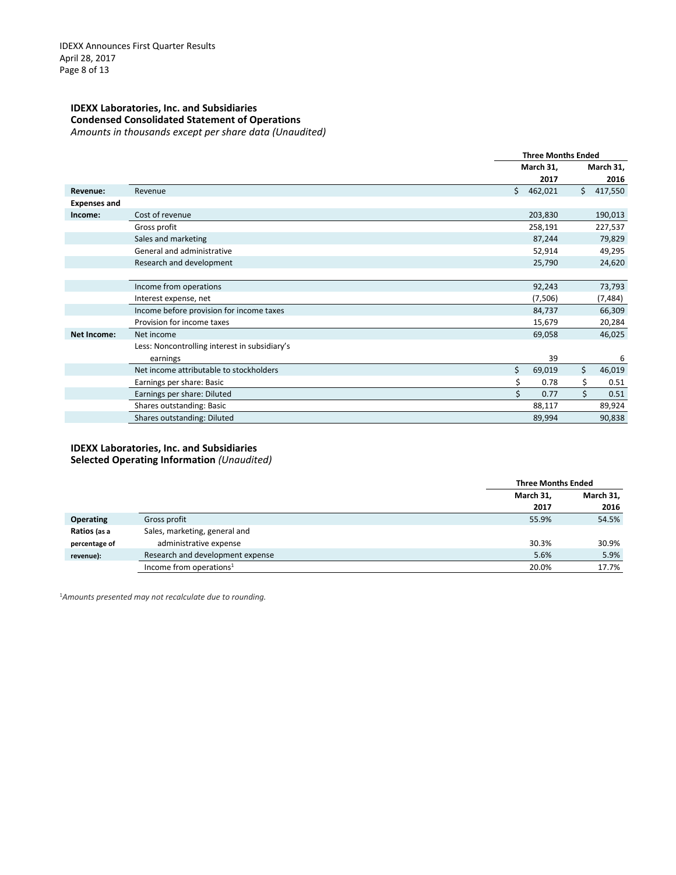#### **IDEXX Laboratories, Inc. and Subsidiaries Condensed Consolidated Statement of Operations** *Amounts in thousands except per share data (Unaudited)*

|                     |                                               | <b>Three Months Ended</b> |         |    |           |
|---------------------|-----------------------------------------------|---------------------------|---------|----|-----------|
|                     |                                               | March 31,                 |         |    | March 31, |
|                     |                                               |                           | 2017    |    | 2016      |
| Revenue:            | Revenue                                       | Ś.                        | 462,021 | Ś. | 417,550   |
| <b>Expenses and</b> |                                               |                           |         |    |           |
| Income:             | Cost of revenue                               |                           | 203,830 |    | 190,013   |
|                     | Gross profit                                  |                           | 258,191 |    | 227,537   |
|                     | Sales and marketing                           |                           | 87,244  |    | 79,829    |
|                     | General and administrative                    |                           | 52,914  |    | 49,295    |
|                     | Research and development                      |                           | 25,790  |    | 24,620    |
|                     |                                               |                           |         |    |           |
|                     | Income from operations                        |                           | 92,243  |    | 73,793    |
|                     | Interest expense, net                         |                           | (7,506) |    | (7, 484)  |
|                     | Income before provision for income taxes      |                           | 84,737  |    | 66,309    |
|                     | Provision for income taxes                    |                           | 15,679  |    | 20,284    |
| <b>Net Income:</b>  | Net income                                    |                           | 69,058  |    | 46,025    |
|                     | Less: Noncontrolling interest in subsidiary's |                           |         |    |           |
|                     | earnings                                      |                           | 39      |    | 6         |
|                     | Net income attributable to stockholders       | \$                        | 69,019  | \$ | 46,019    |
|                     | Earnings per share: Basic                     | \$                        | 0.78    | \$ | 0.51      |
|                     | Earnings per share: Diluted                   | \$                        | 0.77    | Ś  | 0.51      |
|                     | Shares outstanding: Basic                     |                           | 88,117  |    | 89,924    |
|                     | Shares outstanding: Diluted                   |                           | 89,994  |    | 90,838    |

### **IDEXX Laboratories, Inc. and Subsidiaries**

**Selected Operating Information** *(Unaudited)*

|                  |                                     | <b>Three Months Ended</b> |           |
|------------------|-------------------------------------|---------------------------|-----------|
|                  |                                     | March 31,                 | March 31, |
|                  |                                     | 2017                      | 2016      |
| <b>Operating</b> | Gross profit                        | 55.9%                     | 54.5%     |
| Ratios (as a     | Sales, marketing, general and       |                           |           |
| percentage of    | administrative expense              | 30.3%                     | 30.9%     |
| revenue):        | Research and development expense    | 5.6%                      | 5.9%      |
|                  | Income from operations <sup>1</sup> | 20.0%                     | 17.7%     |

1*Amounts presented may not recalculate due to rounding.*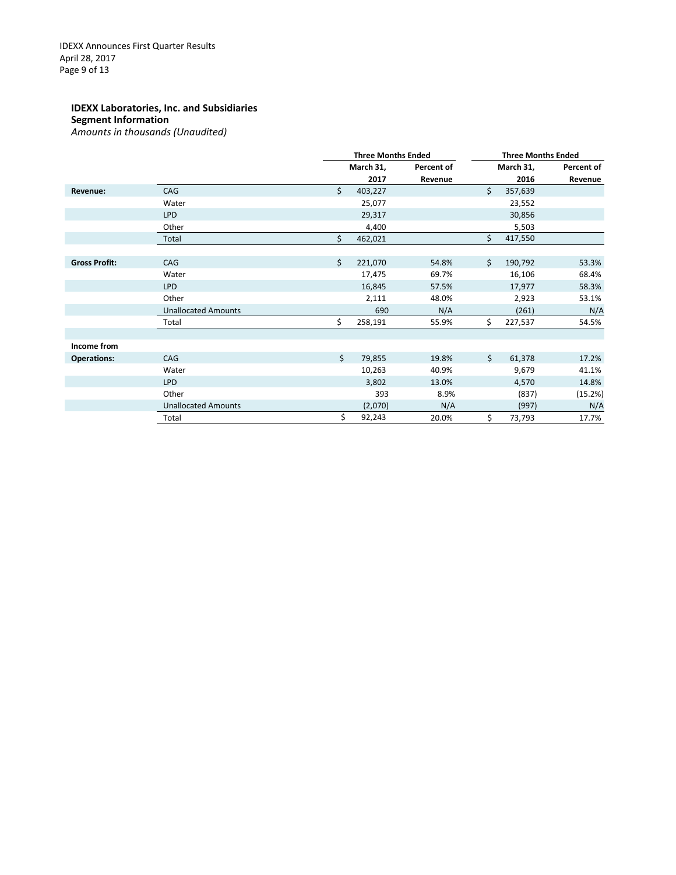#### **IDEXX Laboratories, Inc. and Subsidiaries Segment Information** *Amounts in thousands (Unaudited)*

|                      |                            |    | <b>Three Months Ended</b> |            |    | <b>Three Months Ended</b> |            |  |
|----------------------|----------------------------|----|---------------------------|------------|----|---------------------------|------------|--|
|                      |                            |    | March 31,                 | Percent of |    | March 31,                 | Percent of |  |
|                      |                            |    | 2017                      | Revenue    |    | 2016                      | Revenue    |  |
| Revenue:             | CAG                        | \$ | 403,227                   |            | Ś. | 357,639                   |            |  |
|                      | Water                      |    | 25,077                    |            |    | 23,552                    |            |  |
|                      | <b>LPD</b>                 |    | 29,317                    |            |    | 30,856                    |            |  |
|                      | Other                      |    | 4,400                     |            |    | 5,503                     |            |  |
|                      | Total                      | \$ | 462,021                   |            | \$ | 417,550                   |            |  |
|                      |                            |    |                           |            |    |                           |            |  |
| <b>Gross Profit:</b> | CAG                        | Ś. | 221,070                   | 54.8%      | Ś. | 190,792                   | 53.3%      |  |
|                      | Water                      |    | 17,475                    | 69.7%      |    | 16,106                    | 68.4%      |  |
|                      | <b>LPD</b>                 |    | 16,845                    | 57.5%      |    | 17,977                    | 58.3%      |  |
|                      | Other                      |    | 2,111                     | 48.0%      |    | 2,923                     | 53.1%      |  |
|                      | <b>Unallocated Amounts</b> |    | 690                       | N/A        |    | (261)                     | N/A        |  |
|                      | Total                      | \$ | 258,191                   | 55.9%      | Ś. | 227,537                   | 54.5%      |  |
|                      |                            |    |                           |            |    |                           |            |  |
| Income from          |                            |    |                           |            |    |                           |            |  |
| <b>Operations:</b>   | CAG                        | \$ | 79,855                    | 19.8%      | Ś. | 61,378                    | 17.2%      |  |
|                      | Water                      |    | 10,263                    | 40.9%      |    | 9,679                     | 41.1%      |  |
|                      | <b>LPD</b>                 |    | 3,802                     | 13.0%      |    | 4,570                     | 14.8%      |  |
|                      | Other                      |    | 393                       | 8.9%       |    | (837)                     | (15.2%)    |  |
|                      | <b>Unallocated Amounts</b> |    | (2,070)                   | N/A        |    | (997)                     | N/A        |  |
|                      | Total                      | \$ | 92,243                    | 20.0%      | \$ | 73,793                    | 17.7%      |  |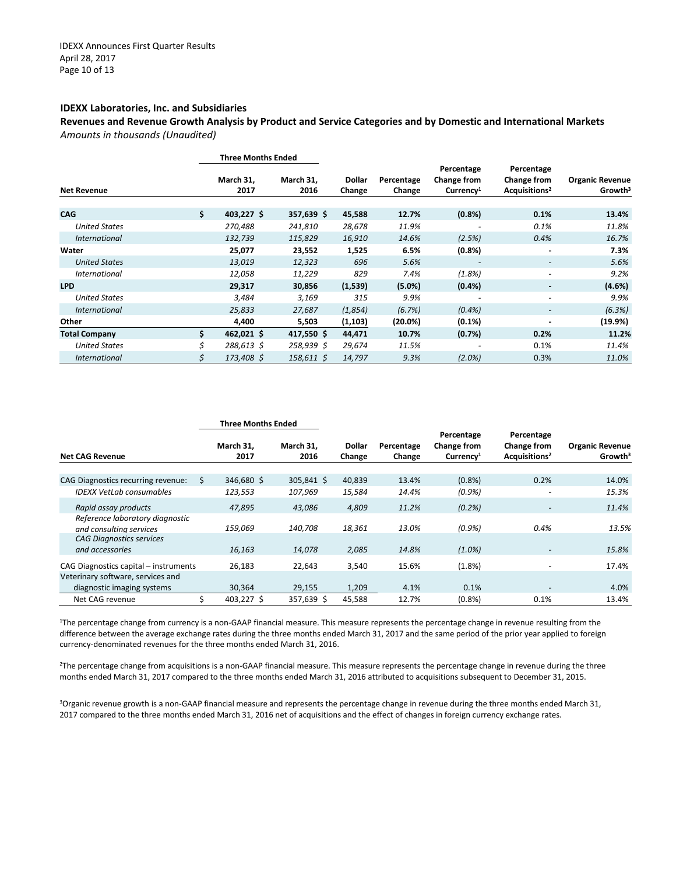#### **IDEXX Laboratories, Inc. and Subsidiaries**

**Revenues and Revenue Growth Analysis by Product and Service Categories and by Domestic and International Markets** *Amounts in thousands (Unaudited)*

|                      | <b>Three Months Ended</b> |                   |                  |                      |                                                    |                                                               |                                               |
|----------------------|---------------------------|-------------------|------------------|----------------------|----------------------------------------------------|---------------------------------------------------------------|-----------------------------------------------|
| <b>Net Revenue</b>   | March 31,<br>2017         | March 31,<br>2016 | Dollar<br>Change | Percentage<br>Change | Percentage<br>Change from<br>Currence <sup>1</sup> | Percentage<br><b>Change from</b><br>Acquisitions <sup>2</sup> | <b>Organic Revenue</b><br>Growth <sup>3</sup> |
| <b>CAG</b>           | \$<br>403,227 \$          | $357,639$ \$      | 45,588           | 12.7%                | (0.8% )                                            | 0.1%                                                          | 13.4%                                         |
| <b>United States</b> | 270,488                   | 241,810           | 28,678           | 11.9%                |                                                    | 0.1%                                                          | 11.8%                                         |
| <i>International</i> | 132,739                   | 115,829           | 16,910           | 14.6%                | (2.5%)                                             | 0.4%                                                          | 16.7%                                         |
| Water                | 25,077                    | 23,552            | 1,525            | 6.5%                 | (0.8% )                                            | ۰                                                             | 7.3%                                          |
| <b>United States</b> | 13,019                    | 12,323            | 696              | 5.6%                 |                                                    | $\overline{\phantom{0}}$                                      | 5.6%                                          |
| <i>International</i> | 12,058                    | 11,229            | 829              | 7.4%                 | (1.8%)                                             | $\overline{\phantom{0}}$                                      | 9.2%                                          |
| <b>LPD</b>           | 29,317                    | 30,856            | (1,539)          | (5.0%)               | $(0.4\%)$                                          |                                                               | (4.6%)                                        |
| <b>United States</b> | 3,484                     | 3,169             | 315              | 9.9%                 |                                                    |                                                               | 9.9%                                          |
| <b>International</b> | 25,833                    | 27,687            | (1,854)          | (6.7%)               | $(0.4\%)$                                          |                                                               | (6.3%)                                        |
| Other                | 4,400                     | 5,503             | (1, 103)         | (20.0%)              | $(0.1\%)$                                          |                                                               | (19.9%)                                       |
| <b>Total Company</b> | \$<br>462,021 \$          | $417,550$ \$      | 44,471           | 10.7%                | (0.7%)                                             | 0.2%                                                          | 11.2%                                         |
| <b>United States</b> | \$<br>288,613 \$          | 258,939 \$        | 29,674           | 11.5%                |                                                    | 0.1%                                                          | 11.4%                                         |
| <i>International</i> | \$<br>173,408 \$          | $158,611$ \$      | 14,797           | 9.3%                 | (2.0%)                                             | 0.3%                                                          | 11.0%                                         |

|                                                            | <b>Three Months Ended</b> |                   |                    |                         |                      |                                                   |                                                        |                                               |
|------------------------------------------------------------|---------------------------|-------------------|--------------------|-------------------------|----------------------|---------------------------------------------------|--------------------------------------------------------|-----------------------------------------------|
| <b>Net CAG Revenue</b>                                     |                           | March 31.<br>2017 | March 31.<br>2016  | <b>Dollar</b><br>Change | Percentage<br>Change | Percentage<br>Change from<br>Current <sup>1</sup> | Percentage<br>Change from<br>Acquisitions <sup>2</sup> | <b>Organic Revenue</b><br>Growth <sup>3</sup> |
|                                                            |                           |                   |                    |                         |                      |                                                   |                                                        |                                               |
| CAG Diagnostics recurring revenue:                         | S                         | 346,680 \$        | $305,841 \text{ }$ | 40,839                  | 13.4%                | (0.8% )                                           | 0.2%                                                   | 14.0%                                         |
| <b>IDEXX VetLab consumables</b>                            |                           | 123,553           | 107,969            | 15,584                  | 14.4%                | $(0.9\%)$                                         | $\overline{\phantom{a}}$                               | 15.3%                                         |
| Rapid assay products                                       |                           | 47,895            | 43,086             | 4,809                   | 11.2%                | $(0.2\%)$                                         | -                                                      | 11.4%                                         |
| Reference laboratory diagnostic<br>and consulting services |                           | 159,069           | 140,708            | 18,361                  | 13.0%                | $(0.9\%)$                                         | 0.4%                                                   | 13.5%                                         |
| <b>CAG Diagnostics services</b>                            |                           |                   |                    |                         |                      |                                                   |                                                        |                                               |
| and accessories                                            |                           | 16,163            | 14,078             | 2,085                   | 14.8%                | $(1.0\%)$                                         | $\overline{\phantom{a}}$                               | 15.8%                                         |
| CAG Diagnostics capital - instruments                      |                           | 26,183            | 22,643             | 3,540                   | 15.6%                | (1.8%)                                            |                                                        | 17.4%                                         |
| Veterinary software, services and                          |                           |                   |                    |                         |                      |                                                   |                                                        |                                               |
| diagnostic imaging systems                                 |                           | 30,364            | 29,155             | 1,209                   | 4.1%                 | 0.1%                                              |                                                        | 4.0%                                          |
| Net CAG revenue                                            |                           | 403.227 \$        | 357,639 \$         | 45,588                  | 12.7%                | (0.8% )                                           | 0.1%                                                   | 13.4%                                         |

1The percentage change from currency is a non-GAAP financial measure. This measure represents the percentage change in revenue resulting from the difference between the average exchange rates during the three months ended March 31, 2017 and the same period of the prior year applied to foreign currency-denominated revenues for the three months ended March 31, 2016.

2The percentage change from acquisitions is a non-GAAP financial measure. This measure represents the percentage change in revenue during the three months ended March 31, 2017 compared to the three months ended March 31, 2016 attributed to acquisitions subsequent to December 31, 2015.

3 Organic revenue growth is a non-GAAP financial measure and represents the percentage change in revenue during the three months ended March 31, 2017 compared to the three months ended March 31, 2016 net of acquisitions and the effect of changes in foreign currency exchange rates.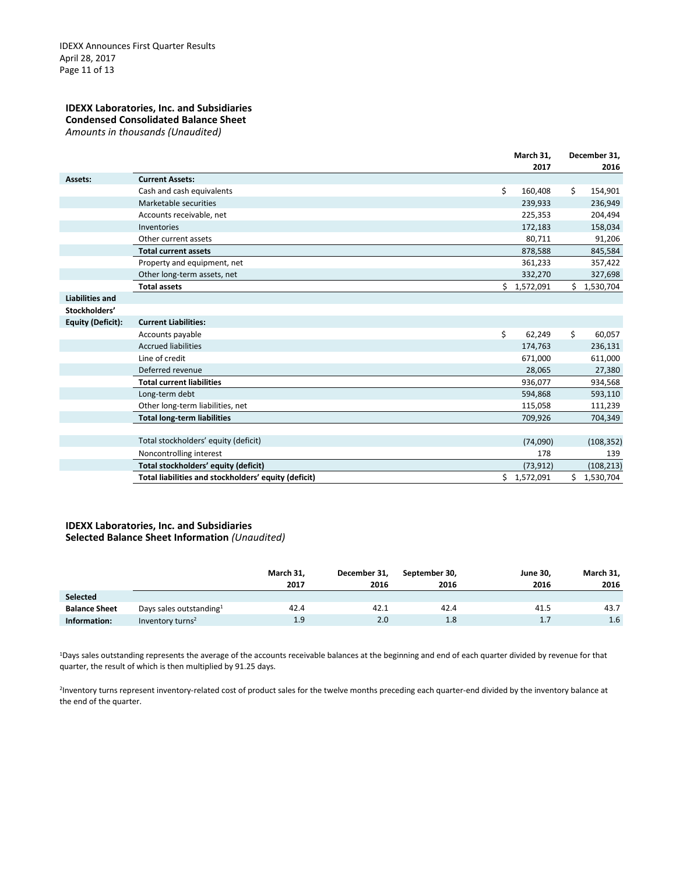#### **IDEXX Laboratories, Inc. and Subsidiaries Condensed Consolidated Balance Sheet** *Amounts in thousands (Unaudited)*

|                          |                                                      | March 31,     |    | December 31, |  |  |
|--------------------------|------------------------------------------------------|---------------|----|--------------|--|--|
|                          |                                                      | 2017          |    | 2016         |  |  |
| Assets:                  | <b>Current Assets:</b>                               |               |    |              |  |  |
|                          | Cash and cash equivalents                            | \$<br>160,408 | \$ | 154,901      |  |  |
|                          | Marketable securities                                | 239,933       |    | 236,949      |  |  |
|                          | Accounts receivable, net                             | 225,353       |    | 204,494      |  |  |
|                          | Inventories                                          | 172,183       |    | 158,034      |  |  |
|                          | Other current assets                                 | 80,711        |    | 91,206       |  |  |
|                          | <b>Total current assets</b>                          | 878,588       |    | 845,584      |  |  |
|                          | Property and equipment, net                          | 361,233       |    | 357,422      |  |  |
|                          | Other long-term assets, net                          | 332,270       |    | 327,698      |  |  |
|                          | <b>Total assets</b>                                  | \$1,572,091   |    | \$1,530,704  |  |  |
| <b>Liabilities and</b>   |                                                      |               |    |              |  |  |
| Stockholders'            |                                                      |               |    |              |  |  |
| <b>Equity (Deficit):</b> | <b>Current Liabilities:</b>                          |               |    |              |  |  |
|                          | Accounts payable                                     | \$<br>62,249  | \$ | 60,057       |  |  |
|                          | <b>Accrued liabilities</b>                           | 174,763       |    | 236,131      |  |  |
|                          | Line of credit                                       | 671,000       |    | 611,000      |  |  |
|                          | Deferred revenue                                     | 28,065        |    | 27,380       |  |  |
|                          | <b>Total current liabilities</b>                     | 936,077       |    | 934,568      |  |  |
|                          | Long-term debt                                       | 594,868       |    | 593,110      |  |  |
|                          | Other long-term liabilities, net                     | 115,058       |    | 111,239      |  |  |
|                          | <b>Total long-term liabilities</b>                   | 709,926       |    | 704,349      |  |  |
|                          |                                                      |               |    |              |  |  |
|                          | Total stockholders' equity (deficit)                 | (74,090)      |    | (108, 352)   |  |  |
|                          | Noncontrolling interest                              | 178           |    | 139          |  |  |
|                          | Total stockholders' equity (deficit)                 | (73, 912)     |    | (108, 213)   |  |  |
|                          | Total liabilities and stockholders' equity (deficit) | \$1,572,091   |    | \$1,530,704  |  |  |

#### **IDEXX Laboratories, Inc. and Subsidiaries Selected Balance Sheet Information** *(Unaudited)*

|                      |                                     | March 31,<br>2017 | December 31,<br>2016 | September 30,<br>2016 | <b>June 30,</b><br>2016 | March 31,<br>2016 |
|----------------------|-------------------------------------|-------------------|----------------------|-----------------------|-------------------------|-------------------|
| <b>Selected</b>      |                                     |                   |                      |                       |                         |                   |
| <b>Balance Sheet</b> | Days sales outstanding <sup>1</sup> | 42.4              | 42.1                 | 42.4                  | 41.5                    | 43.7              |
| Information:         | Inventory turns <sup>2</sup>        | 1.9               | 2.0                  | 1.8                   | 1.7                     | 1.6               |

1Days sales outstanding represents the average of the accounts receivable balances at the beginning and end of each quarter divided by revenue for that quarter, the result of which is then multiplied by 91.25 days.

2Inventory turns represent inventory-related cost of product sales for the twelve months preceding each quarter-end divided by the inventory balance at the end of the quarter.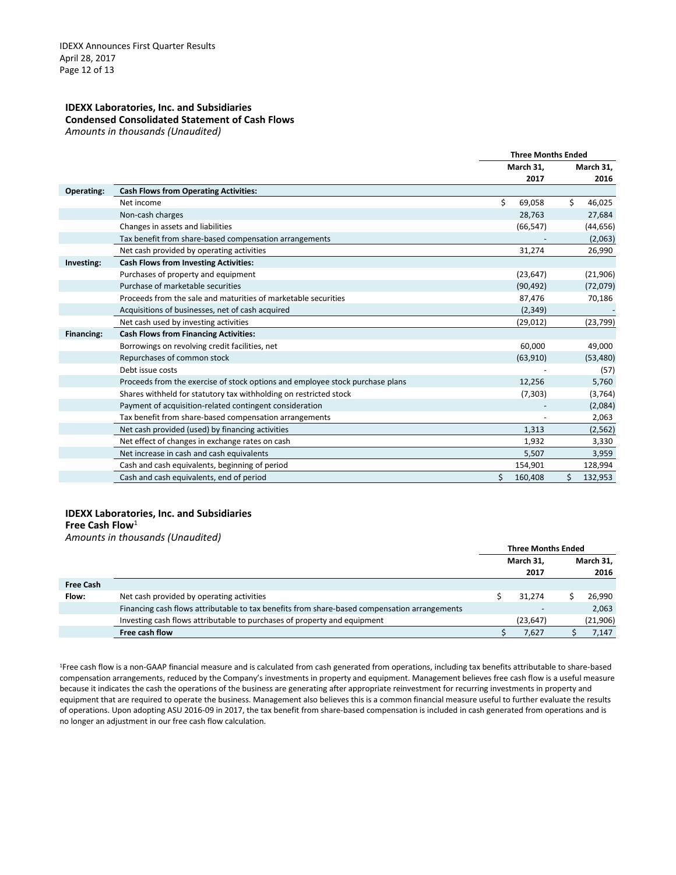#### **IDEXX Laboratories, Inc. and Subsidiaries Condensed Consolidated Statement of Cash Flows**  *Amounts in thousands (Unaudited)*

|                   |                                                                               | <b>Three Months Ended</b> |           |           |           |
|-------------------|-------------------------------------------------------------------------------|---------------------------|-----------|-----------|-----------|
|                   |                                                                               | March 31,                 |           | March 31, |           |
|                   |                                                                               |                           | 2017      |           | 2016      |
| <b>Operating:</b> | <b>Cash Flows from Operating Activities:</b>                                  |                           |           |           |           |
|                   | Net income                                                                    | \$                        | 69,058    | \$        | 46,025    |
|                   | Non-cash charges                                                              |                           | 28,763    |           | 27,684    |
|                   | Changes in assets and liabilities                                             |                           | (66, 547) |           | (44, 656) |
|                   | Tax benefit from share-based compensation arrangements                        |                           |           |           | (2,063)   |
|                   | Net cash provided by operating activities                                     |                           | 31,274    |           | 26,990    |
| Investing:        | <b>Cash Flows from Investing Activities:</b>                                  |                           |           |           |           |
|                   | Purchases of property and equipment                                           |                           | (23, 647) |           | (21,906)  |
|                   | Purchase of marketable securities                                             |                           | (90, 492) |           | (72, 079) |
|                   | Proceeds from the sale and maturities of marketable securities                |                           | 87,476    |           | 70,186    |
|                   | Acquisitions of businesses, net of cash acquired                              |                           | (2, 349)  |           |           |
|                   | Net cash used by investing activities                                         |                           | (29, 012) |           | (23, 799) |
| Financing:        | <b>Cash Flows from Financing Activities:</b>                                  |                           |           |           |           |
|                   | Borrowings on revolving credit facilities, net                                |                           | 60,000    |           | 49,000    |
|                   | Repurchases of common stock                                                   |                           | (63,910)  |           | (53, 480) |
|                   | Debt issue costs                                                              |                           |           |           | (57)      |
|                   | Proceeds from the exercise of stock options and employee stock purchase plans |                           | 12,256    |           | 5,760     |
|                   | Shares withheld for statutory tax withholding on restricted stock             |                           | (7, 303)  |           | (3,764)   |
|                   | Payment of acquisition-related contingent consideration                       |                           |           |           | (2,084)   |
|                   | Tax benefit from share-based compensation arrangements                        |                           |           |           | 2,063     |
|                   | Net cash provided (used) by financing activities                              |                           | 1,313     |           | (2, 562)  |
|                   | Net effect of changes in exchange rates on cash                               |                           | 1,932     |           | 3,330     |
|                   | Net increase in cash and cash equivalents                                     |                           | 5,507     |           | 3,959     |
|                   | Cash and cash equivalents, beginning of period                                |                           | 154,901   |           | 128,994   |
|                   | Cash and cash equivalents, end of period                                      | Ś.                        | 160,408   | \$        | 132,953   |

#### **IDEXX Laboratories, Inc. and Subsidiaries Free Cash Flow**<sup>1</sup>

*Amounts in thousands (Unaudited)*

|                  |                                                                                              | <b>Three Months Ended</b> |                          |  |                   |
|------------------|----------------------------------------------------------------------------------------------|---------------------------|--------------------------|--|-------------------|
|                  |                                                                                              |                           | March 31,<br>2017        |  | March 31,<br>2016 |
| <b>Free Cash</b> |                                                                                              |                           |                          |  |                   |
| Flow:            | Net cash provided by operating activities                                                    |                           | 31.274                   |  | 26,990            |
|                  | Financing cash flows attributable to tax benefits from share-based compensation arrangements |                           | $\overline{\phantom{0}}$ |  | 2,063             |
|                  | Investing cash flows attributable to purchases of property and equipment                     |                           | (23,647)                 |  | (21,906)          |
|                  | Free cash flow                                                                               |                           | 7.627                    |  | 7,147             |

1Free cash flow is a non-GAAP financial measure and is calculated from cash generated from operations, including tax benefits attributable to share-based compensation arrangements, reduced by the Company's investments in property and equipment. Management believes free cash flow is a useful measure because it indicates the cash the operations of the business are generating after appropriate reinvestment for recurring investments in property and equipment that are required to operate the business. Management also believes this is a common financial measure useful to further evaluate the results of operations. Upon adopting ASU 2016-09 in 2017, the tax benefit from share-based compensation is included in cash generated from operations and is no longer an adjustment in our free cash flow calculation.